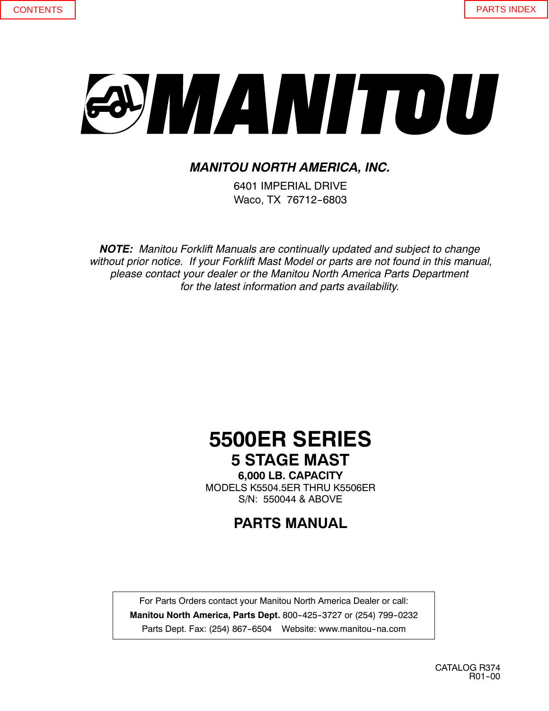# SYMANITOU

## *MANITOU NORTH AMERICA, INC.*

6401 IMPERIAL DRIVE Waco, TX 76712-6803

*NOTE: Manitou Forklift Manuals are continually updated and subject to change without prior notice. If your Forklift Mast Model or parts are not found in this manual, please contact your dealer or the Manitou North America Parts Department for the latest information and parts availability.*

# **5500ER SERIES 5 STAGE MAST**

**6,000 LB. CAPACITY** MODELS K5504.5ER THRU K5506ER S/N: 550044 & ABOVE

**PARTS MANUAL**

For Parts Orders contact your Manitou North America Dealer or call: **Manitou North America, Parts Dept.** 800-425-3727 or (254) 799-0232 Parts Dept. Fax: (254) 867-6504 Website: www.manitou-na.com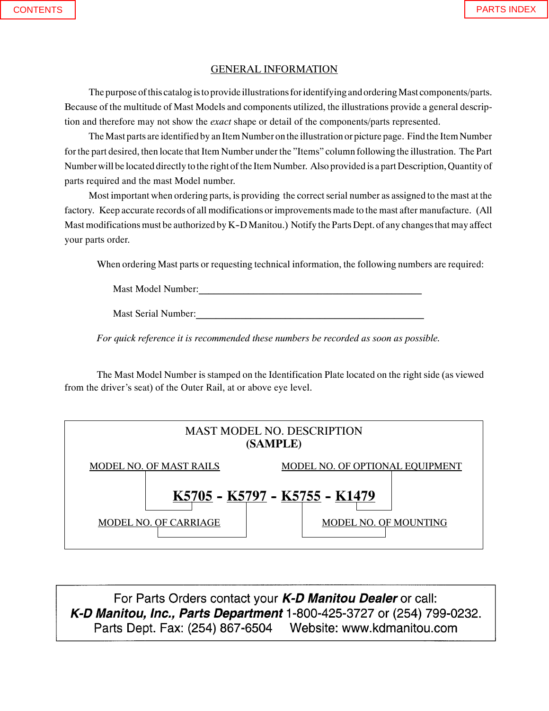### GENERAL INFORMATION

The purpose of this catalog is to provide illustrations for identifying and ordering Mast components/parts. Because of the multitude of Mast Models and components utilized, the illustrations provide a general description and therefore may not show the *exact* shape or detail of the components/parts represented.

The Mast parts are identified by an Item Number on the illustration or picture page. Find the Item Number for the part desired, then locate that Item Number under the "Items" column following the illustration. The Part Number will be located directly tothe right of the Item Number. Also provided is a part Description, Quantity of parts required and the mast Model number.

Most important when ordering parts, is providing the correct serial number as assigned to the mast at the factory. Keep accurate records of all modifications or improvements made to the mast after manufacture. (All Mast modifications must be authorized by K-D Manitou.) Notify the Parts Dept. of any changes that may affect your parts order.

When ordering Mast parts or requesting technical information, the following numbers are required:

Mast Model Number:

Mast Serial Number:

*For quick reference it is recommended these numbers be recorded as soon as possible.*

The Mast Model Number is stamped on the Identification Plate located on the right side (as viewed from the driver's seat) of the Outer Rail, at or above eye level.



For Parts Orders contact your *K-D Manitou Dealer* or call: *K- D Manitou, Parts Division*, Waco, Texas.  $1$ -0004  $\sqrt{3}$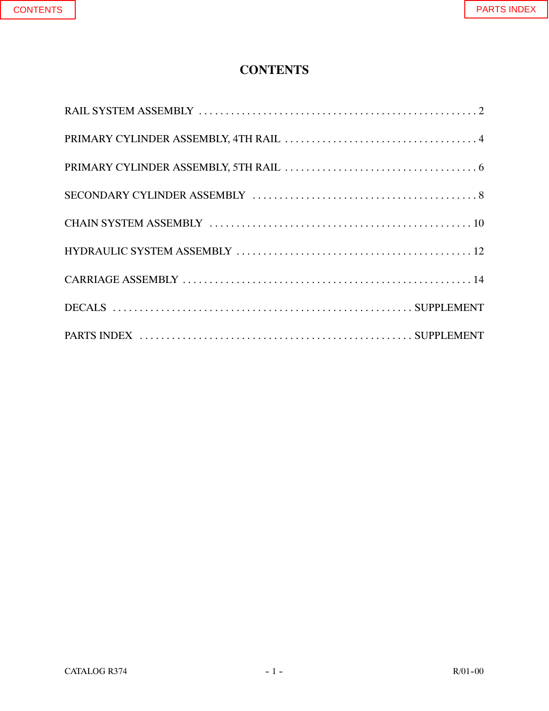## **CONTENTS**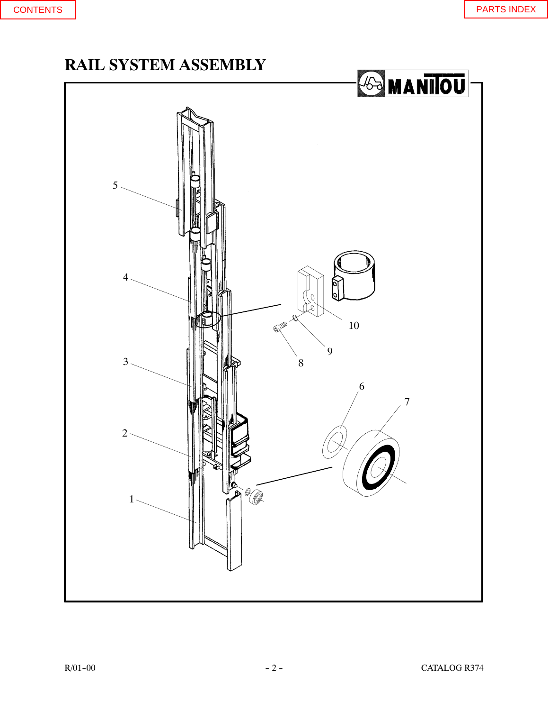# <span id="page-3-0"></span>**RAIL SYSTEM ASSEMBLY**

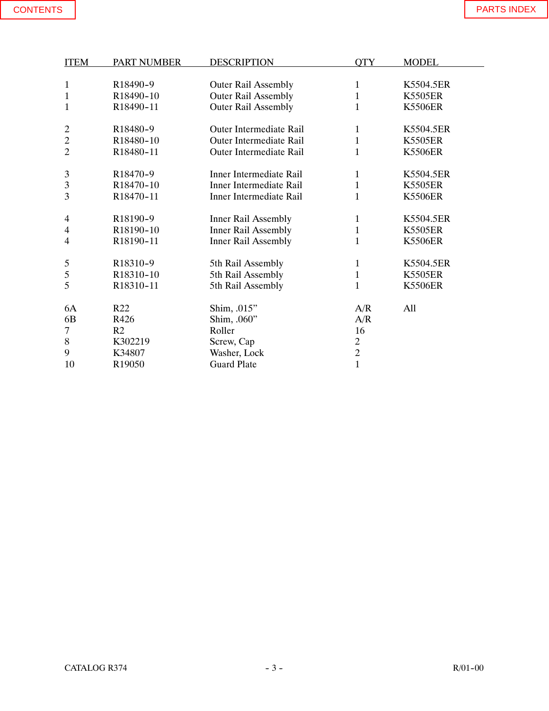| <b>ITEM</b>    | <b>PART NUMBER</b> | <b>DESCRIPTION</b>         | <b>OTY</b>     | <b>MODEL</b>   |
|----------------|--------------------|----------------------------|----------------|----------------|
|                |                    |                            |                |                |
| 1              | R18490-9           | <b>Outer Rail Assembly</b> | 1              | K5504.5ER      |
| 1              | R18490-10          | <b>Outer Rail Assembly</b> | $\mathbf{1}$   | <b>K5505ER</b> |
| 1              | R18490-11          | <b>Outer Rail Assembly</b> | 1              | <b>K5506ER</b> |
|                |                    |                            |                |                |
| $\overline{c}$ | R18480-9           | Outer Intermediate Rail    | 1              | K5504.5ER      |
| $\overline{c}$ | R18480-10          | Outer Intermediate Rail    | $\mathbf{1}$   | <b>K5505ER</b> |
| $\overline{2}$ | R18480-11          | Outer Intermediate Rail    | 1              | <b>K5506ER</b> |
|                |                    |                            |                |                |
| 3              | R18470-9           | Inner Intermediate Rail    | 1              | K5504.5ER      |
| 3              | R18470-10          | Inner Intermediate Rail    | $\mathbf{1}$   | <b>K5505ER</b> |
| 3              | R18470-11          | Inner Intermediate Rail    | $\mathbf 1$    | <b>K5506ER</b> |
|                |                    |                            |                |                |
| 4              | R18190-9           | Inner Rail Assembly        | $\mathbf{1}$   | K5504.5ER      |
| 4              | R18190-10          | <b>Inner Rail Assembly</b> | $\mathbf{1}$   | <b>K5505ER</b> |
| 4              | R18190-11          | <b>Inner Rail Assembly</b> | 1              | <b>K5506ER</b> |
|                |                    |                            |                |                |
| 5              | R18310-9           | 5th Rail Assembly          | 1              | K5504.5ER      |
| 5              | R18310-10          | 5th Rail Assembly          | $\mathbf 1$    | <b>K5505ER</b> |
| 5              | R18310-11          | 5th Rail Assembly          | 1              | <b>K5506ER</b> |
|                |                    |                            |                |                |
| 6A             | R22                | Shim, .015"                | A/R            | All            |
| 6 <sub>B</sub> | R426               | Shim, .060"                | A/R            |                |
| 7              | R <sub>2</sub>     | Roller                     | 16             |                |
| 8              | K302219            | Screw, Cap                 | $\overline{c}$ |                |
| 9              | K34807             | Washer, Lock               | $\overline{c}$ |                |
| 10             | R19050             | <b>Guard Plate</b>         | $\mathbf{1}$   |                |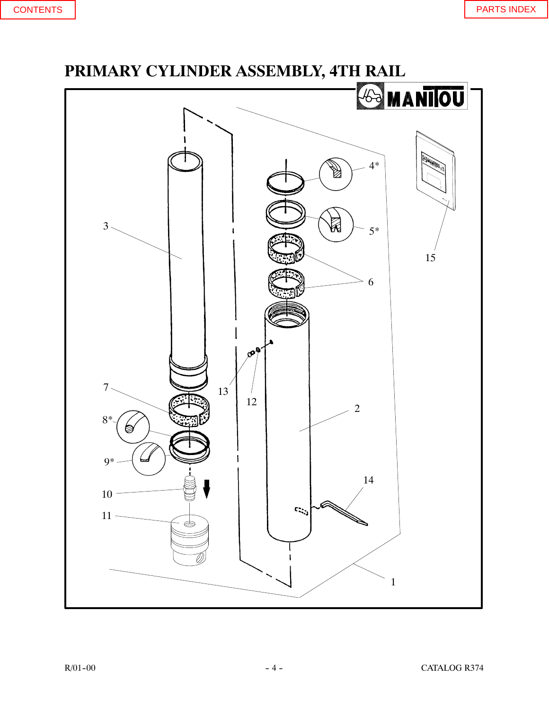# <span id="page-5-0"></span>**PRIMARY CYLINDER ASSEMBLY, 4TH RAIL** *<b>SA MANIOU* 4\* Ø  $3 -$ Ŕ 5\* 15 6  $\mathfrak{G}^{\mathfrak{g}}$  $13^{7}$ 7  $\begin{array}{c|c} 12 & 2 \end{array}$ 8\* 9\* 14 10  $\mathbb{C}^{1,1}_{\mathbb{Z}^{2}}$  $11 \Leftrightarrow$ 1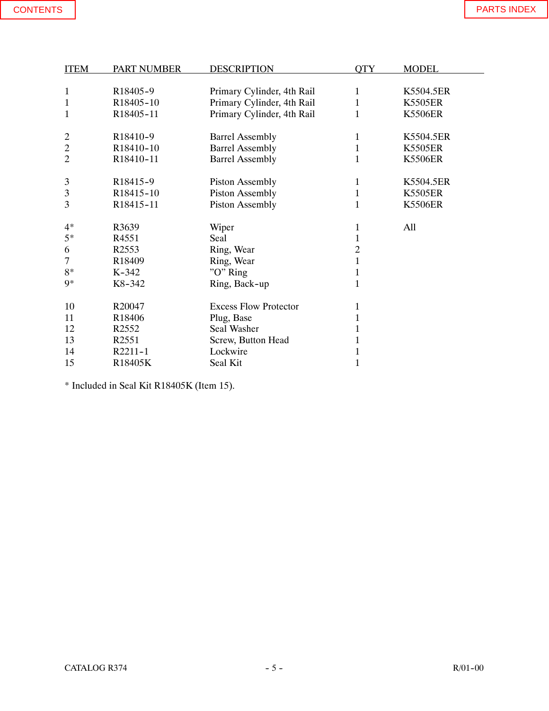| <b>ITEM</b>    | <b>PART NUMBER</b>    | <b>DESCRIPTION</b>           | <b>QTY</b>     | <b>MODEL</b>   |
|----------------|-----------------------|------------------------------|----------------|----------------|
|                |                       |                              |                |                |
| $\mathbf{1}$   | R18405-9              | Primary Cylinder, 4th Rail   | $\mathbf{1}$   | K5504.5ER      |
| $\mathbf{1}$   | R18405-10             | Primary Cylinder, 4th Rail   | 1              | <b>K5505ER</b> |
| 1              | R18405-11             | Primary Cylinder, 4th Rail   | $\mathbf 1$    | <b>K5506ER</b> |
| $\overline{c}$ | R18410-9              | <b>Barrel Assembly</b>       | $\mathbf{1}$   | K5504.5ER      |
| $\mathbf{2}$   | R18410-10             | <b>Barrel Assembly</b>       | $\mathbf{1}$   | <b>K5505ER</b> |
| $\overline{2}$ | R18410-11             | <b>Barrel Assembly</b>       | $\mathbf 1$    | <b>K5506ER</b> |
| $\mathfrak{Z}$ | R <sub>18415</sub> -9 | <b>Piston Assembly</b>       | 1              | K5504.5ER      |
| 3              | R18415-10             | <b>Piston Assembly</b>       | $\mathbf{1}$   | <b>K5505ER</b> |
| 3              | R18415-11             | <b>Piston Assembly</b>       | $\mathbf{1}$   | <b>K5506ER</b> |
| $4*$           | R3639                 | Wiper                        | $\mathbf{1}$   | All            |
| $5*$           | R <sub>4551</sub>     | Seal                         | $\mathbf 1$    |                |
| 6              | R <sub>2553</sub>     | Ring, Wear                   | $\overline{2}$ |                |
| $\tau$         | R18409                | Ring, Wear                   | $\mathbf{1}$   |                |
| $8*$           | $K-342$               | "O" Ring                     | $\mathbf{1}$   |                |
| 9*             | K8-342                | Ring, Back-up                | $\mathbf{1}$   |                |
| 10             | R20047                | <b>Excess Flow Protector</b> | $\mathbf{1}$   |                |
| 11             | R <sub>18406</sub>    | Plug, Base                   | $\mathbf{1}$   |                |
| 12             | R <sub>2552</sub>     | Seal Washer                  | $\mathbf{1}$   |                |
| 13             | R <sub>2551</sub>     | Screw, Button Head           | $\mathbf{1}$   |                |
| 14             | R2211-1               | Lockwire                     | 1              |                |
| 15             | R18405K               | Seal Kit                     | $\mathbf{1}$   |                |

\* Included in Seal Kit R18405K (Item 15).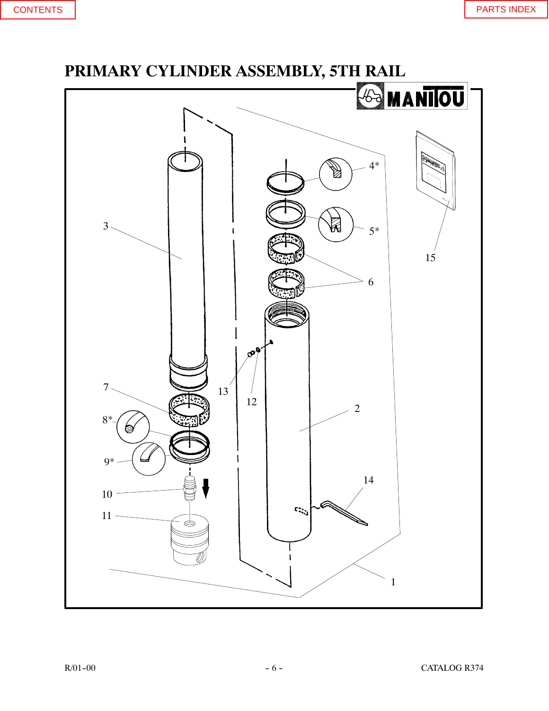<span id="page-7-0"></span>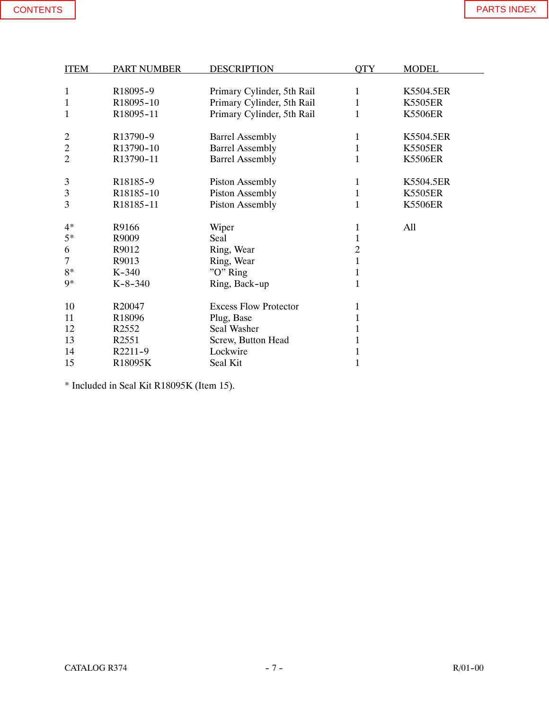| <b>ITEM</b>    | <b>PART NUMBER</b>    | <b>DESCRIPTION</b>           | <b>OTY</b>     | <b>MODEL</b>   |  |
|----------------|-----------------------|------------------------------|----------------|----------------|--|
|                |                       |                              |                |                |  |
| $\mathbf{1}$   | R18095-9              | Primary Cylinder, 5th Rail   | $\mathbf{1}$   | K5504.5ER      |  |
| $\mathbf{1}$   | R18095-10             | Primary Cylinder, 5th Rail   | 1              | <b>K5505ER</b> |  |
| $\mathbf{1}$   | R18095-11             | Primary Cylinder, 5th Rail   | $\mathbf{1}$   | <b>K5506ER</b> |  |
|                |                       |                              |                |                |  |
| $\overline{c}$ | R13790-9              | <b>Barrel Assembly</b>       | $\mathbf{1}$   | K5504.5ER      |  |
| $\mathbf{2}$   | R13790-10             | <b>Barrel Assembly</b>       | 1              | <b>K5505ER</b> |  |
| $\overline{2}$ | R13790-11             | <b>Barrel Assembly</b>       | $\mathbf{1}$   | <b>K5506ER</b> |  |
|                |                       |                              |                |                |  |
| 3              | R <sub>18185</sub> -9 | <b>Piston Assembly</b>       | 1              | K5504.5ER      |  |
| $\mathfrak{Z}$ | R18185-10             | Piston Assembly              | $\mathbf{1}$   | <b>K5505ER</b> |  |
| 3              | R18185-11             | <b>Piston Assembly</b>       | 1              | <b>K5506ER</b> |  |
| $4*$           | R9166                 | Wiper                        | $\mathbf{1}$   | All            |  |
| $5*$           | R9009                 | Seal                         | $\mathbf{1}$   |                |  |
| 6              | R9012                 | Ring, Wear                   | $\overline{2}$ |                |  |
| 7              | R9013                 | Ring, Wear                   | $\mathbf{1}$   |                |  |
| $8*$           | $K-340$               | "O" Ring                     | $\mathbf{1}$   |                |  |
| $Q*$           | $K-8-340$             | Ring, Back-up                | $\mathbf{1}$   |                |  |
|                |                       |                              |                |                |  |
| 10             | R20047                | <b>Excess Flow Protector</b> | $\mathbf{1}$   |                |  |
| 11             | R <sub>18096</sub>    | Plug, Base                   | $\mathbf{1}$   |                |  |
| 12             | R <sub>2552</sub>     | Seal Washer                  | 1              |                |  |
| 13             | R <sub>2551</sub>     | Screw, Button Head           | $\mathbf{1}$   |                |  |
| 14             | R2211-9               | Lockwire                     | $\mathbf{1}$   |                |  |
| 15             | R18095K               | Seal Kit                     | $\mathbf{1}$   |                |  |

\* Included in Seal Kit R18095K (Item 15).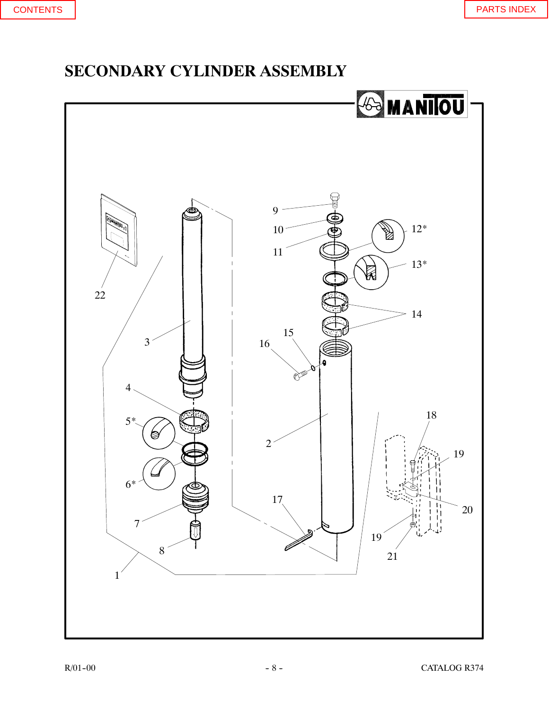## <span id="page-9-0"></span>**SECONDARY CYLINDER ASSEMBLY**

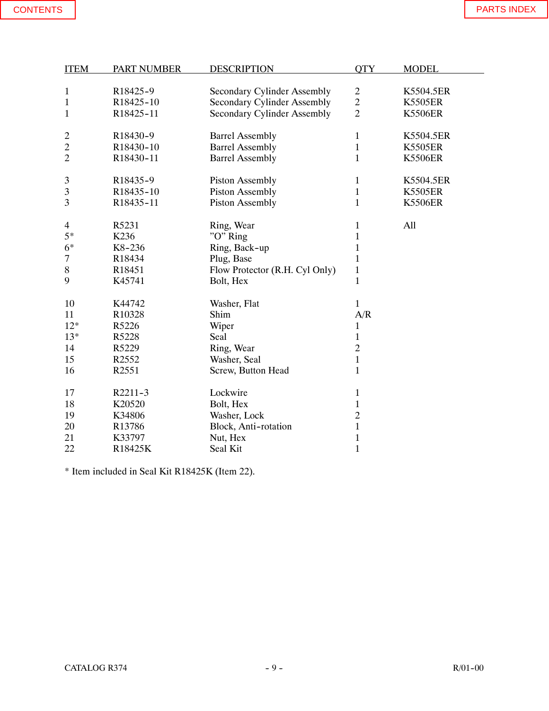| <b>ITEM</b>    | <b>PART NUMBER</b> | <b>DESCRIPTION</b>             | <b>OTY</b>     | <b>MODEL</b>   |
|----------------|--------------------|--------------------------------|----------------|----------------|
|                |                    |                                |                |                |
| $\mathbf{1}$   | R18425-9           | Secondary Cylinder Assembly    | $\overline{2}$ | K5504.5ER      |
| $\mathbf{1}$   | R18425-10          | Secondary Cylinder Assembly    | $\overline{c}$ | <b>K5505ER</b> |
| $\mathbf 1$    | R18425-11          | Secondary Cylinder Assembly    | $\overline{2}$ | <b>K5506ER</b> |
|                |                    |                                |                |                |
| $\overline{c}$ | R18430-9           | <b>Barrel Assembly</b>         | $\mathbf{1}$   | K5504.5ER      |
| $\overline{c}$ | R18430-10          | <b>Barrel Assembly</b>         | $\mathbf{1}$   | <b>K5505ER</b> |
| $\overline{c}$ | R18430-11          | <b>Barrel Assembly</b>         | $\mathbf{1}$   | <b>K5506ER</b> |
| 3              | R18435-9           | <b>Piston Assembly</b>         | $\mathbf{1}$   | K5504.5ER      |
| 3              | R18435-10          | <b>Piston Assembly</b>         | $\mathbf{1}$   | <b>K5505ER</b> |
| 3              | R18435-11          | <b>Piston Assembly</b>         | $\mathbf{1}$   | <b>K5506ER</b> |
| $\overline{4}$ | R5231              | Ring, Wear                     | $\mathbf{1}$   | All            |
| $5*$           | K236               | "O" Ring                       | $\mathbf{1}$   |                |
| $6*$           | K8-236             | Ring, Back-up                  | $\mathbf{1}$   |                |
| 7              | R18434             | Plug, Base                     | $\mathbf{1}$   |                |
| $8\,$          | R18451             | Flow Protector (R.H. Cyl Only) | $\mathbf{1}$   |                |
| 9              | K45741             | Bolt, Hex                      | $\mathbf{1}$   |                |
| 10             | K44742             | Washer, Flat                   | $\mathbf{1}$   |                |
| 11             | R10328             | Shim                           | A/R            |                |
| $12*$          | R5226              | Wiper                          | $\mathbf{1}$   |                |
| $13*$          | R5228              | Seal                           | $\,1$          |                |
| 14             | R5229              | Ring, Wear                     | $\overline{2}$ |                |
| 15             | R2552              | Washer, Seal                   | $\,1$          |                |
| 16             | R2551              | Screw, Button Head             | $\mathbf{1}$   |                |
| 17             | R2211-3            | Lockwire                       | $\mathbf{1}$   |                |
| 18             | K20520             | Bolt, Hex                      | $\,1$          |                |
| 19             | K34806             | Washer, Lock                   | $\overline{c}$ |                |
| 20             | R13786             | Block, Anti-rotation           | $\mathbf{1}$   |                |
| 21             | K33797             | Nut, Hex                       | $\mathbf{1}$   |                |
| 22             | R18425K            | Seal Kit                       | $\mathbf{1}$   |                |

\* Item included in Seal Kit R18425K (Item 22).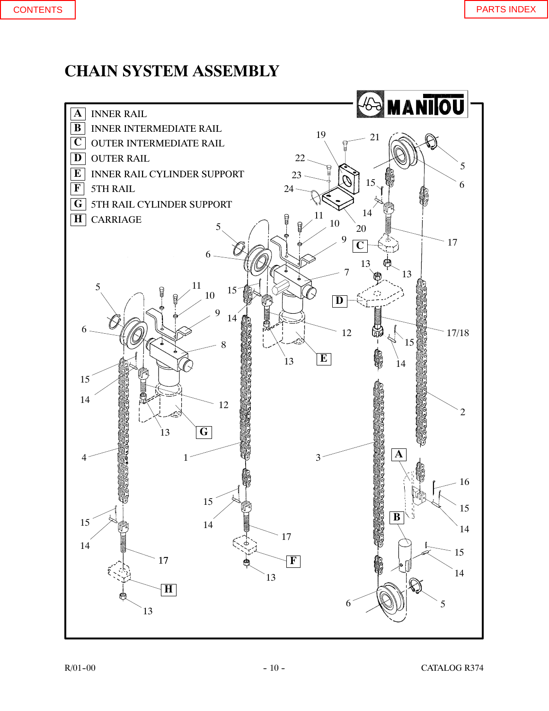# <span id="page-11-0"></span>**CHAIN SYSTEM ASSEMBLY**

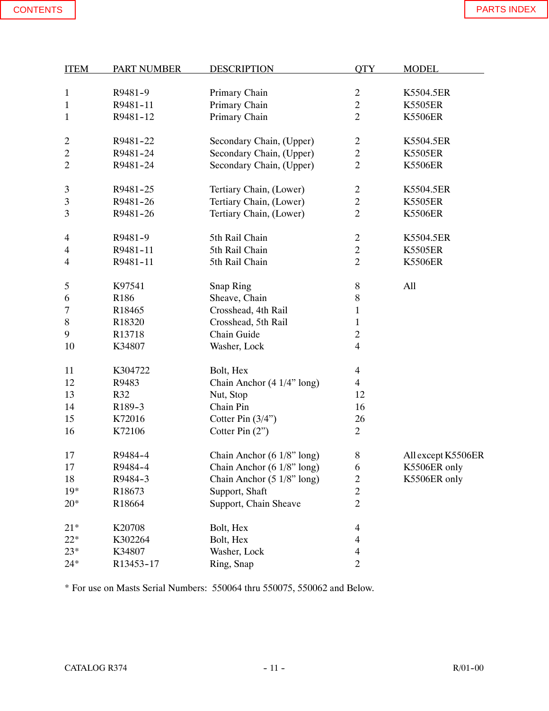| <b>ITEM</b>    | <b>PART NUMBER</b> | <b>DESCRIPTION</b>                    | <b>QTY</b>               | <b>MODEL</b>       |
|----------------|--------------------|---------------------------------------|--------------------------|--------------------|
| $\mathbf{1}$   | R9481-9            | Primary Chain                         | $\overline{2}$           | K5504.5ER          |
| $\mathbf{1}$   | R9481-11           | Primary Chain                         | $\overline{c}$           | <b>K5505ER</b>     |
| $\mathbf{1}$   | R9481-12           | Primary Chain                         | $\overline{2}$           | <b>K5506ER</b>     |
|                |                    |                                       |                          |                    |
| $\overline{c}$ | R9481-22           | Secondary Chain, (Upper)              | $\overline{c}$           | K5504.5ER          |
| $\mathbf{2}$   | R9481-24           | Secondary Chain, (Upper)              | $\overline{c}$           | <b>K5505ER</b>     |
| $\overline{2}$ | R9481-24           | Secondary Chain, (Upper)              | $\overline{2}$           | <b>K5506ER</b>     |
| 3              | R9481-25           | Tertiary Chain, (Lower)               | $\overline{c}$           | K5504.5ER          |
| 3              | R9481-26           | Tertiary Chain, (Lower)               | $\overline{c}$           | <b>K5505ER</b>     |
| 3              | R9481-26           | Tertiary Chain, (Lower)               | $\overline{2}$           | <b>K5506ER</b>     |
|                |                    |                                       |                          |                    |
| 4              | R9481-9            | 5th Rail Chain                        | $\overline{2}$           | K5504.5ER          |
| 4              | R9481-11           | 5th Rail Chain                        | $\overline{c}$           | <b>K5505ER</b>     |
| 4              | R9481-11           | 5th Rail Chain                        | $\overline{2}$           | <b>K5506ER</b>     |
| 5              | K97541             | Snap Ring                             | $8\,$                    | All                |
| 6              | R186               | Sheave, Chain                         | $8\,$                    |                    |
| 7              | R18465             | Crosshead, 4th Rail                   | $\mathbf{1}$             |                    |
| $8\,$          | R18320             | Crosshead, 5th Rail                   | $\mathbf{1}$             |                    |
| 9              | R13718             | Chain Guide                           | $\overline{c}$           |                    |
| 10             | K34807             | Washer, Lock                          | $\overline{4}$           |                    |
|                |                    |                                       |                          |                    |
| 11             | K304722            | Bolt, Hex                             | $\overline{4}$           |                    |
| 12             | R9483              | Chain Anchor (4 1/4" long)            | 4                        |                    |
| 13             | R32                | Nut, Stop                             | 12                       |                    |
| 14             | R189-3             | Chain Pin                             | 16                       |                    |
| 15             | K72016             | Cotter Pin $(3/4")$                   | 26                       |                    |
| 16             | K72106             | Cotter Pin $(2)$                      | $\overline{2}$           |                    |
| 17             | R9484-4            | Chain Anchor (6 1/8" long)            | 8                        | All except K5506ER |
| 17             | R9484-4            | Chain Anchor (6 1/8" long)            | $\boldsymbol{6}$         | K5506ER only       |
| 18             | R9484-3            | Chain Anchor $(5 \frac{1}{8}$ " long) | $\overline{c}$           | K5506ER only       |
| $19*$          | R18673             | Support, Shaft                        | $\overline{c}$           |                    |
| $20*$          | R18664             | Support, Chain Sheave                 | $\overline{2}$           |                    |
| $21*$          | K20708             | Bolt, Hex                             | 4                        |                    |
| $22*$          | K302264            | Bolt, Hex                             | 4                        |                    |
| $23*$          | K34807             | Washer, Lock                          | $\overline{\mathcal{L}}$ |                    |
| $24*$          | R13453-17          | Ring, Snap                            | $\overline{c}$           |                    |
|                |                    |                                       |                          |                    |

\* For use on Masts Serial Numbers: 550064 thru 550075, 550062 and Below.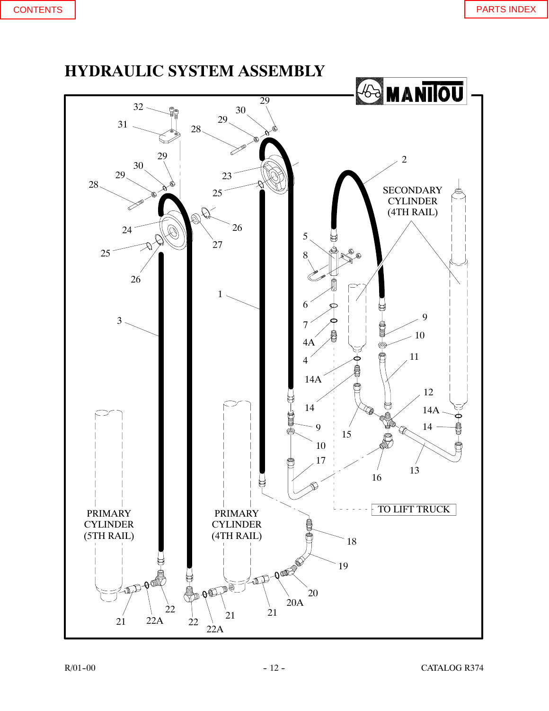<span id="page-13-0"></span>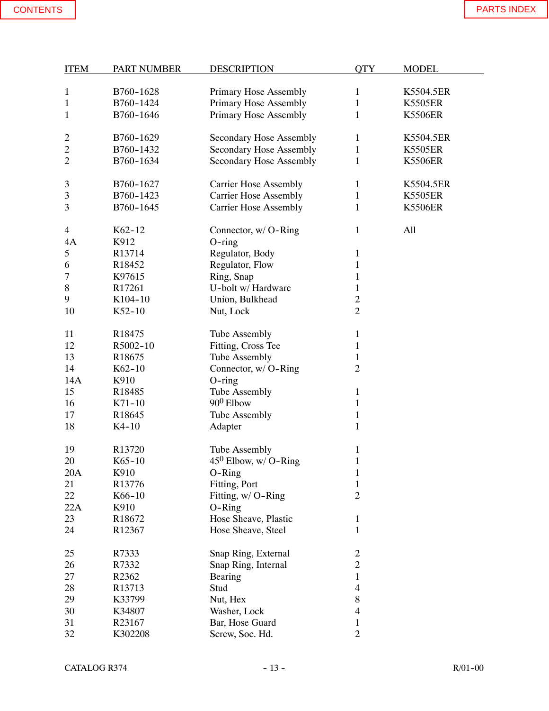| <b>ITEM</b>    | <b>PART NUMBER</b> | <b>DESCRIPTION</b>             | <b>QTY</b>               | <b>MODEL</b>   |
|----------------|--------------------|--------------------------------|--------------------------|----------------|
|                |                    |                                |                          |                |
| 1              | B760-1628          | Primary Hose Assembly          | $\mathbf{1}$             | K5504.5ER      |
| 1              | B760-1424          | <b>Primary Hose Assembly</b>   | $\mathbf 1$              | <b>K5505ER</b> |
| 1              | B760-1646          | Primary Hose Assembly          | $\mathbf{1}$             | <b>K5506ER</b> |
|                |                    |                                |                          |                |
|                | B760-1629          |                                | $\mathbf{1}$             | K5504.5ER      |
| 2              |                    | <b>Secondary Hose Assembly</b> |                          |                |
| $\overline{c}$ | B760-1432          | <b>Secondary Hose Assembly</b> | $\mathbf{1}$             | <b>K5505ER</b> |
| $\overline{c}$ | B760-1634          | <b>Secondary Hose Assembly</b> | $\mathbf{1}$             | <b>K5506ER</b> |
|                |                    |                                |                          |                |
| 3              | B760-1627          | <b>Carrier Hose Assembly</b>   | $\mathbf{1}$             | K5504.5ER      |
| 3              | B760-1423          | <b>Carrier Hose Assembly</b>   | $\mathbf{1}$             | <b>K5505ER</b> |
| 3              | B760-1645          | <b>Carrier Hose Assembly</b>   | $\mathbf{1}$             | <b>K5506ER</b> |
|                |                    |                                |                          |                |
| $\overline{4}$ | K62-12             | Connector, w/ O-Ring           | $\mathbf{1}$             | All            |
| 4A             | K912               | $O$ -ring                      |                          |                |
| 5              | R13714             | Regulator, Body                | $\mathbf{1}$             |                |
| 6              | R18452             | Regulator, Flow                | $\mathbf{1}$             |                |
| 7              | K97615             | Ring, Snap                     | $\mathbf{1}$             |                |
| 8              | R17261             | U-bolt w/ Hardware             | $\mathbf{1}$             |                |
| 9              | K104-10            | Union, Bulkhead                | $\mathbf{2}$             |                |
| 10             | $K52-10$           | Nut, Lock                      | $\overline{2}$           |                |
|                |                    |                                |                          |                |
| 11             | R18475             | <b>Tube Assembly</b>           | $\mathbf{1}$             |                |
| 12             | R5002-10           | Fitting, Cross Tee             | $\mathbf{1}$             |                |
| 13             | R18675             | <b>Tube Assembly</b>           | $\mathbf{1}$             |                |
| 14             | $K62-10$           | Connector, w/ O-Ring           | $\overline{2}$           |                |
| 14A            | K910               |                                |                          |                |
|                |                    | $O$ -ring                      |                          |                |
| 15             | R18485             | <b>Tube Assembly</b>           | $\mathbf{1}$             |                |
| 16             | $K71 - 10$         | $90^0$ Elbow                   | $\mathbf{1}$             |                |
| 17             | R18645             | Tube Assembly                  | $\,1$                    |                |
| 18             | $K4-10$            | Adapter                        | $\mathbf{1}$             |                |
|                |                    |                                |                          |                |
| 19             | R13720             | Tube Assembly                  | $\mathbf{1}$             |                |
| 20             | $K65 - 10$         | $45^0$ Elbow, w/ O-Ring        | $\mathbf{1}$             |                |
| 20A            | K910               | $O-Ring$                       | $\mathbf{1}$             |                |
| 21             | R13776             | Fitting, Port                  | $\,1$                    |                |
| 22             | K66-10             | Fitting, w/ O-Ring             | $\overline{c}$           |                |
| 22A            | K910               | $O-Ring$                       |                          |                |
| 23             | R18672             | Hose Sheave, Plastic           | 1                        |                |
| 24             | R12367             | Hose Sheave, Steel             | $\mathbf{1}$             |                |
|                |                    |                                |                          |                |
| 25             | R7333              | Snap Ring, External            | $\overline{c}$           |                |
| 26             | R7332              | Snap Ring, Internal            | $\overline{c}$           |                |
| 27             | R2362              | Bearing                        | $\mathbf{1}$             |                |
| 28             | R13713             | Stud                           | $\overline{4}$           |                |
| 29             | K33799             | Nut, Hex                       | $8\,$                    |                |
| 30             | K34807             | Washer, Lock                   | $\overline{\mathcal{L}}$ |                |
| 31             | R23167             | Bar, Hose Guard                | $\mathbf{1}$             |                |
|                |                    |                                | $\overline{2}$           |                |
| 32             | K302208            | Screw, Soc. Hd.                |                          |                |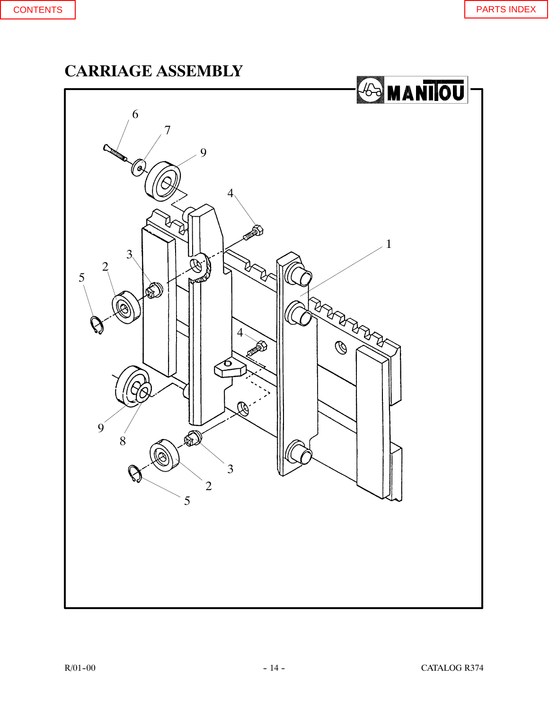<span id="page-15-0"></span>**CARRIAGE ASSEMBLY**

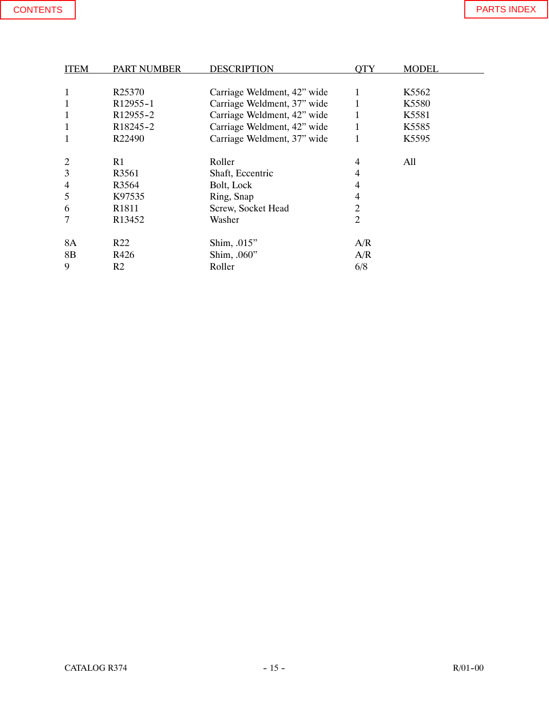| <b>ITEM</b>    | <b>PART NUMBER</b>    | <b>DESCRIPTION</b>          | OTY | <b>MODEL</b>      |
|----------------|-----------------------|-----------------------------|-----|-------------------|
|                |                       |                             |     |                   |
| $\mathbf 1$    | R <sub>25370</sub>    | Carriage Weldment, 42" wide | 1   | K <sub>5562</sub> |
| 1              | R <sub>12955</sub> -1 | Carriage Weldment, 37" wide |     | K5580             |
| $\mathbf 1$    | R <sub>12955</sub> -2 | Carriage Weldment, 42" wide |     | K5581             |
| $\mathbf 1$    | R <sub>18245</sub> -2 | Carriage Weldment, 42" wide | 1   | K5585             |
| 1              | R22490                | Carriage Weldment, 37" wide | 1   | K5595             |
|                |                       |                             |     |                   |
| $\overline{2}$ | R <sub>1</sub>        | Roller                      | 4   | All               |
| 3              | R3561                 | Shaft, Eccentric            | 4   |                   |
| 4              | R <sub>3564</sub>     | Bolt, Lock                  | 4   |                   |
| 5              | K97535                | Ring, Snap                  | 4   |                   |
| 6              | R <sub>1811</sub>     | Screw, Socket Head          | 2   |                   |
| 7              | R13452                | Washer                      | 2   |                   |
| <b>8A</b>      | R <sub>22</sub>       | Shim, .015"                 | A/R |                   |
| 8B             | R426                  | Shim, .060"                 | A/R |                   |
| 9              | R <sub>2</sub>        | Roller                      | 6/8 |                   |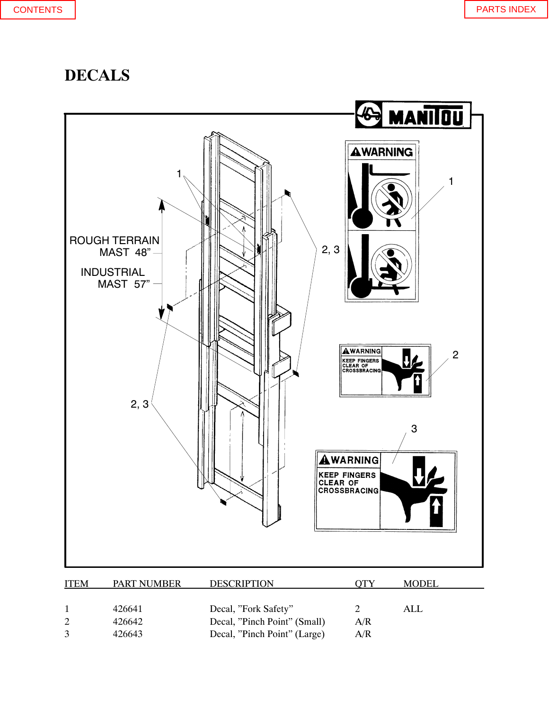## <span id="page-17-0"></span>**DECALS**



2 426642 Decal, "Pinch Point" (Small) A/R 3 426643 Decal, "Pinch Point" (Large) A/R